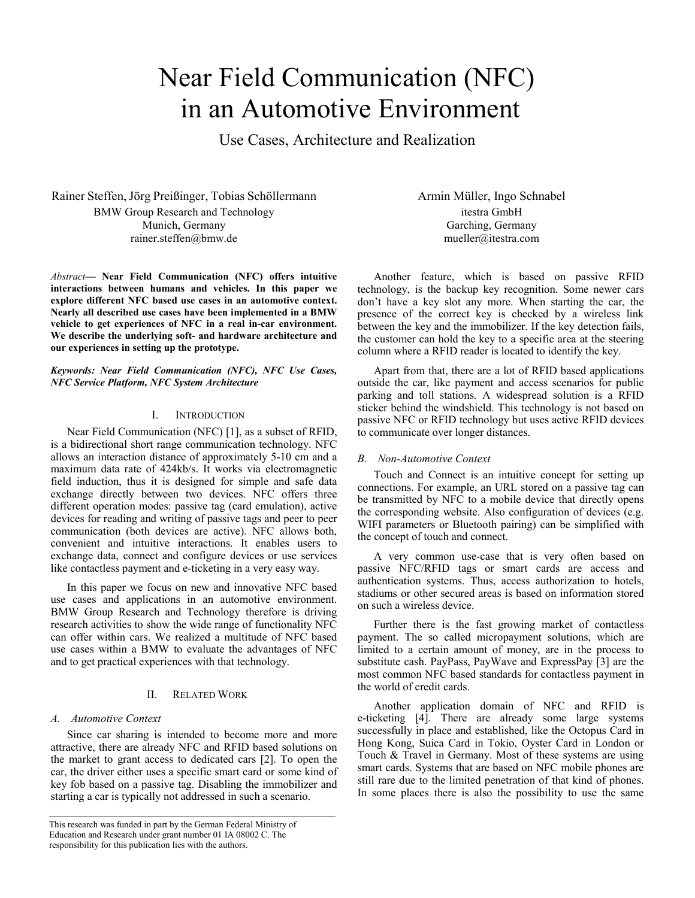# Near Field Communication (NFC) in an Automotive Environment

Use Cases, Architecture and Realization

Rainer Steffen,Jörg Preißinger, Tobias Schöllermann BMW Group Research and Technology Munich, Germany rainer.steffen@bmw.de

*Abstract***— Near Field Communication (NFC) offers intuitive interactions between humans and vehicles. In this paper we explore different NFC based use cases in an automotive context. Nearly all described use cases have been implemented in a BMW vehicle to get experiences of NFC in a real in-car environment. We describe the underlying soft- and hardware architecture and our experiences in setting up the prototype.** 

## *Keywords: Near Field Communication (NFC), NFC Use Cases, NFC Service Platform, NFC System Architecture*

# I. INTRODUCTION

Near Field Communication (NFC) [1], as a subset of RFID, is a bidirectional short range communication technology. NFC allows an interaction distance of approximately 5-10 cm and a maximum data rate of 424kb/s. It works via electromagnetic field induction, thus it is designed for simple and safe data exchange directly between two devices. NFC offers three different operation modes: passive tag (card emulation), active devices for reading and writing of passive tags and peer to peer communication (both devices are active). NFC allows both, convenient and intuitive interactions. It enables users to exchange data, connect and configure devices or use services like contactless payment and e-ticketing in a very easy way.

In this paper we focus on new and innovative NFC based use cases and applications in an automotive environment. BMW Group Research and Technology therefore is driving research activities to show the wide range of functionality NFC can offer within cars. We realized a multitude of NFC based use cases within a BMW to evaluate the advantages of NFC and to get practical experiences with that technology.

## II. RELATED WORK

## *A. Automotive Context*

Since car sharing is intended to become more and more attractive, there are already NFC and RFID based solutions on the market to grant access to dedicated cars [2]. To open the car, the driver either uses a specific smart card or some kind of key fob based on a passive tag. Disabling the immobilizer and starting a car is typically not addressed in such a scenario.

Armin Müller, Ingo Schnabel itestra GmbH Garching, Germany mueller@itestra.com

Another feature, which is based on passive RFID technology, is the backup key recognition. Some newer cars don't have a key slot any more. When starting the car, the presence of the correct key is checked by a wireless link between the key and the immobilizer. If the key detection fails, the customer can hold the key to a specific area at the steering column where a RFID reader is located to identify the key.

Apart from that, there are a lot of RFID based applications outside the car, like payment and access scenarios for public parking and toll stations. A widespread solution is a RFID sticker behind the windshield. This technology is not based on passive NFC or RFID technology but uses active RFID devices to communicate over longer distances.

## *B. Non-Automotive Context*

Touch and Connect is an intuitive concept for setting up connections. For example, an URL stored on a passive tag can be transmitted by NFC to a mobile device that directly opens the corresponding website. Also configuration of devices (e.g. WIFI parameters or Bluetooth pairing) can be simplified with the concept of touch and connect.

A very common use-case that is very often based on passive NFC/RFID tags or smart cards are access and authentication systems. Thus, access authorization to hotels, stadiums or other secured areas is based on information stored on such a wireless device.

Further there is the fast growing market of contactless payment. The so called micropayment solutions, which are limited to a certain amount of money, are in the process to substitute cash. PayPass, PayWave and ExpressPay [3] are the most common NFC based standards for contactless payment in the world of credit cards.

Another application domain of NFC and RFID is e-ticketing [4]. There are already some large systems successfully in place and established, like the Octopus Card in Hong Kong, Suica Card in Tokio, Oyster Card in London or Touch & Travel in Germany. Most of these systems are using smart cards. Systems that are based on NFC mobile phones are still rare due to the limited penetration of that kind of phones. In some places there is also the possibility to use the same

This research was funded in part by the German Federal Ministry of Education and Research under grant number 01 IA 08002 C. The responsibility for this publication lies with the authors.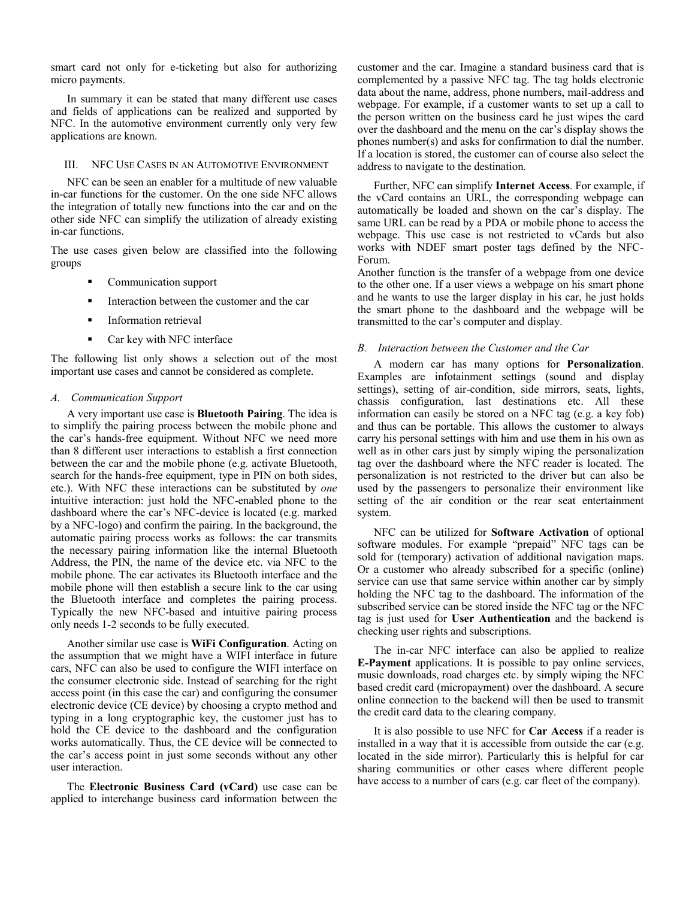smart card not only for e-ticketing but also for authorizing micro payments.

In summary it can be stated that many different use cases and fields of applications can be realized and supported by NFC. In the automotive environment currently only very few applications are known.

#### III. NFC USE CASES IN AN AUTOMOTIVE ENVIRONMENT

NFC can be seen an enabler for a multitude of new valuable in-car functions for the customer. On the one side NFC allows the integration of totally new functions into the car and on the other side NFC can simplify the utilization of already existing in-car functions.

The use cases given below are classified into the following groups

- Communication support
- Interaction between the customer and the car
- **Information retrieval**
- **Car key with NFC interface**

The following list only shows a selection out of the most important use cases and cannot be considered as complete.

## *A. Communication Support*

A very important use case is **Bluetooth Pairing**. The idea is to simplify the pairing process between the mobile phone and the car's hands-free equipment. Without NFC we need more than 8 different user interactions to establish a first connection between the car and the mobile phone (e.g. activate Bluetooth, search for the hands-free equipment, type in PIN on both sides, etc.). With NFC these interactions can be substituted by *one* intuitive interaction: just hold the NFC-enabled phone to the dashboard where the car's NFC-device is located (e.g. marked by a NFC-logo) and confirm the pairing. In the background, the automatic pairing process works as follows: the car transmits the necessary pairing information like the internal Bluetooth Address, the PIN, the name of the device etc. via NFC to the mobile phone. The car activates its Bluetooth interface and the mobile phone will then establish a secure link to the car using the Bluetooth interface and completes the pairing process. Typically the new NFC-based and intuitive pairing process only needs 1-2 seconds to be fully executed.

Another similar use case is **WiFi Configuration**. Acting on the assumption that we might have a WIFI interface in future cars, NFC can also be used to configure the WIFI interface on the consumer electronic side. Instead of searching for the right access point (in this case the car) and configuring the consumer electronic device (CE device) by choosing a crypto method and typing in a long cryptographic key, the customer just has to hold the CE device to the dashboard and the configuration works automatically. Thus, the CE device will be connected to the car's access point in just some seconds without any other user interaction.

The **Electronic Business Card (vCard)** use case can be applied to interchange business card information between the

customer and the car. Imagine a standard business card that is complemented by a passive NFC tag. The tag holds electronic data about the name, address, phone numbers, mail-address and webpage. For example, if a customer wants to set up a call to the person written on the business card he just wipes the card over the dashboard and the menu on the car's display shows the phones number(s) and asks for confirmation to dial the number. If a location is stored, the customer can of course also select the address to navigate to the destination.

Further, NFC can simplify **Internet Access**. For example, if the vCard contains an URL, the corresponding webpage can automatically be loaded and shown on the car's display. The same URL can be read by a PDA or mobile phone to access the webpage. This use case is not restricted to vCards but also works with NDEF smart poster tags defined by the NFC-Forum.

Another function is the transfer of a webpage from one device to the other one. If a user views a webpage on his smart phone and he wants to use the larger display in his car, he just holds the smart phone to the dashboard and the webpage will be transmitted to the car's computer and display.

## *B. Interaction between the Customer and the Car*

A modern car has many options for **Personalization**. Examples are infotainment settings (sound and display settings), setting of air-condition, side mirrors, seats, lights, chassis configuration, last destinations etc. All these information can easily be stored on a NFC tag (e.g. a key fob) and thus can be portable. This allows the customer to always carry his personal settings with him and use them in his own as well as in other cars just by simply wiping the personalization tag over the dashboard where the NFC reader is located. The personalization is not restricted to the driver but can also be used by the passengers to personalize their environment like setting of the air condition or the rear seat entertainment system.

NFC can be utilized for **Software Activation** of optional software modules. For example "prepaid" NFC tags can be sold for (temporary) activation of additional navigation maps. Or a customer who already subscribed for a specific (online) service can use that same service within another car by simply holding the NFC tag to the dashboard. The information of the subscribed service can be stored inside the NFC tag or the NFC tag is just used for **User Authentication** and the backend is checking user rights and subscriptions.

The in-car NFC interface can also be applied to realize **E-Payment** applications. It is possible to pay online services, music downloads, road charges etc. by simply wiping the NFC based credit card (micropayment) over the dashboard. A secure online connection to the backend will then be used to transmit the credit card data to the clearing company.

It is also possible to use NFC for **Car Access** if a reader is installed in a way that it is accessible from outside the car (e.g. located in the side mirror). Particularly this is helpful for car sharing communities or other cases where different people have access to a number of cars (e.g. car fleet of the company).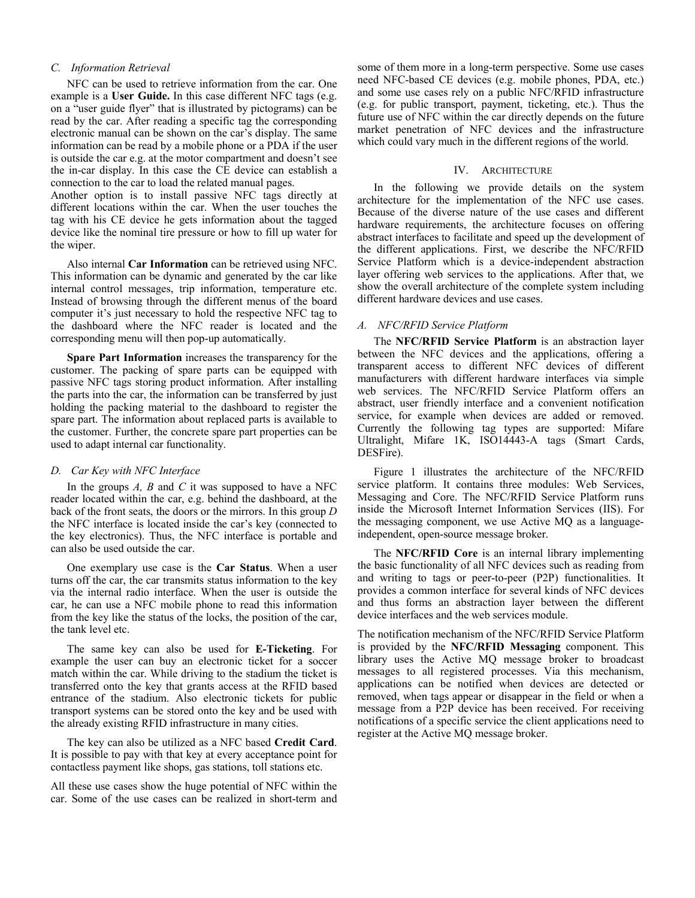# *C. Information Retrieval*

NFC can be used to retrieve information from the car. One example is a **User Guide.** In this case different NFC tags (e.g. on a "user guide flyer" that is illustrated by pictograms) can be read by the car. After reading a specific tag the corresponding electronic manual can be shown on the car's display. The same information can be read by a mobile phone or a PDA if the user is outside the car e.g. at the motor compartment and doesn't see the in-car display. In this case the CE device can establish a connection to the car to load the related manual pages.

Another option is to install passive NFC tags directly at different locations within the car. When the user touches the tag with his CE device he gets information about the tagged device like the nominal tire pressure or how to fill up water for the wiper.

Also internal **Car Information** can be retrieved using NFC. This information can be dynamic and generated by the car like internal control messages, trip information, temperature etc. Instead of browsing through the different menus of the board computer it's just necessary to hold the respective NFC tag to the dashboard where the NFC reader is located and the corresponding menu will then pop-up automatically.

**Spare Part Information** increases the transparency for the customer. The packing of spare parts can be equipped with passive NFC tags storing product information. After installing the parts into the car, the information can be transferred by just holding the packing material to the dashboard to register the spare part. The information about replaced parts is available to the customer. Further, the concrete spare part properties can be used to adapt internal car functionality.

# *D. Car Key with NFC Interface*

In the groups *A, B* and *C* it was supposed to have a NFC reader located within the car, e.g. behind the dashboard, at the back of the front seats, the doors or the mirrors. In this group *D*  the NFC interface is located inside the car's key (connected to the key electronics). Thus, the NFC interface is portable and can also be used outside the car.

One exemplary use case is the **Car Status**. When a user turns off the car, the car transmits status information to the key via the internal radio interface. When the user is outside the car, he can use a NFC mobile phone to read this information from the key like the status of the locks, the position of the car, the tank level etc.

The same key can also be used for **E-Ticketing**. For example the user can buy an electronic ticket for a soccer match within the car. While driving to the stadium the ticket is transferred onto the key that grants access at the RFID based entrance of the stadium. Also electronic tickets for public transport systems can be stored onto the key and be used with the already existing RFID infrastructure in many cities.

The key can also be utilized as a NFC based **Credit Card**. It is possible to pay with that key at every acceptance point for contactless payment like shops, gas stations, toll stations etc.

All these use cases show the huge potential of NFC within the car. Some of the use cases can be realized in short-term and

some of them more in a long-term perspective. Some use cases need NFC-based CE devices (e.g. mobile phones, PDA, etc.) and some use cases rely on a public NFC/RFID infrastructure (e.g. for public transport, payment, ticketing, etc.). Thus the future use of NFC within the car directly depends on the future market penetration of NFC devices and the infrastructure which could vary much in the different regions of the world.

#### IV. ARCHITECTURE

In the following we provide details on the system architecture for the implementation of the NFC use cases. Because of the diverse nature of the use cases and different hardware requirements, the architecture focuses on offering abstract interfaces to facilitate and speed up the development of the different applications. First, we describe the NFC/RFID Service Platform which is a device-independent abstraction layer offering web services to the applications. After that, we show the overall architecture of the complete system including different hardware devices and use cases.

#### *A. NFC/RFID Service Platform*

The **NFC/RFID Service Platform** is an abstraction layer between the NFC devices and the applications, offering a transparent access to different NFC devices of different manufacturers with different hardware interfaces via simple web services. The NFC/RFID Service Platform offers an abstract, user friendly interface and a convenient notification service, for example when devices are added or removed. Currently the following tag types are supported: Mifare Ultralight, Mifare 1K, ISO14443-A tags (Smart Cards, DESFire).

Figure 1 illustrates the architecture of the NFC/RFID service platform. It contains three modules: Web Services, Messaging and Core. The NFC/RFID Service Platform runs inside the Microsoft Internet Information Services (IIS). For the messaging component, we use Active MQ as a languageindependent, open-source message broker.

The **NFC/RFID Core** is an internal library implementing the basic functionality of all NFC devices such as reading from and writing to tags or peer-to-peer (P2P) functionalities. It provides a common interface for several kinds of NFC devices and thus forms an abstraction layer between the different device interfaces and the web services module.

The notification mechanism of the NFC/RFID Service Platform is provided by the **NFC/RFID Messaging** component. This library uses the Active MQ message broker to broadcast messages to all registered processes. Via this mechanism, applications can be notified when devices are detected or removed, when tags appear or disappear in the field or when a message from a P2P device has been received. For receiving notifications of a specific service the client applications need to register at the Active MQ message broker.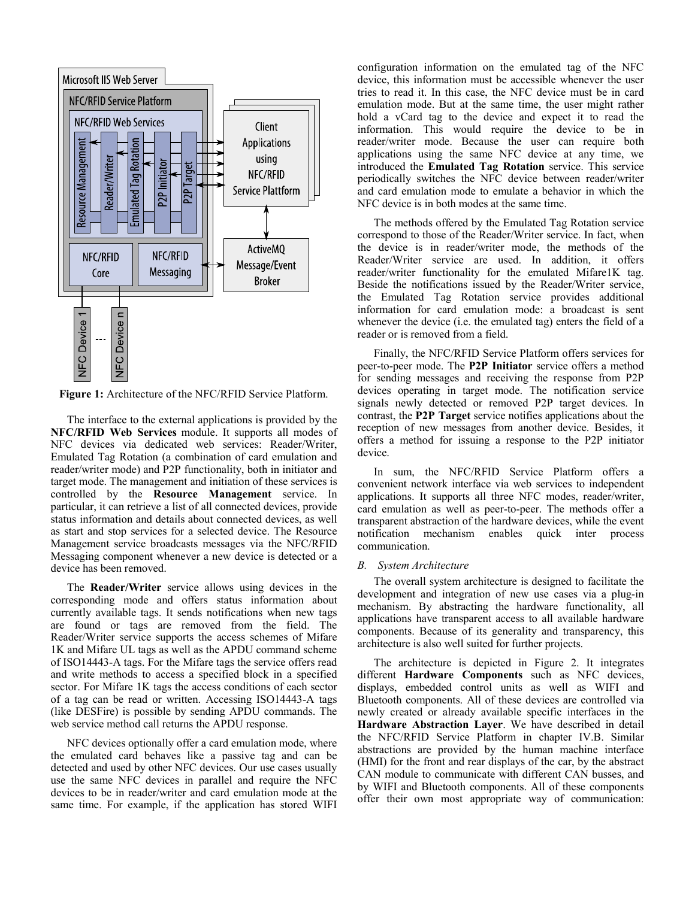

**Figure 1:** Architecture of the NFC/RFID Service Platform.

The interface to the external applications is provided by the **NFC/RFID Web Services** module. It supports all modes of NFC devices via dedicated web services: Reader/Writer, Emulated Tag Rotation (a combination of card emulation and reader/writer mode) and P2P functionality, both in initiator and target mode. The management and initiation of these services is controlled by the **Resource Management** service. In particular, it can retrieve a list of all connected devices, provide status information and details about connected devices, as well as start and stop services for a selected device. The Resource Management service broadcasts messages via the NFC/RFID Messaging component whenever a new device is detected or a device has been removed.

The **Reader/Writer** service allows using devices in the corresponding mode and offers status information about currently available tags. It sends notifications when new tags are found or tags are removed from the field. The Reader/Writer service supports the access schemes of Mifare 1K and Mifare UL tags as well as the APDU command scheme of ISO14443-A tags. For the Mifare tags the service offers read and write methods to access a specified block in a specified sector. For Mifare 1K tags the access conditions of each sector of a tag can be read or written. Accessing ISO14443-A tags (like DESFire) is possible by sending APDU commands. The web service method call returns the APDU response.

NFC devices optionally offer a card emulation mode, where the emulated card behaves like a passive tag and can be detected and used by other NFC devices. Our use cases usually use the same NFC devices in parallel and require the NFC devices to be in reader/writer and card emulation mode at the same time. For example, if the application has stored WIFI

configuration information on the emulated tag of the NFC device, this information must be accessible whenever the user tries to read it. In this case, the NFC device must be in card emulation mode. But at the same time, the user might rather hold a vCard tag to the device and expect it to read the information. This would require the device to be in reader/writer mode. Because the user can require both applications using the same NFC device at any time, we introduced the **Emulated Tag Rotation** service. This service periodically switches the NFC device between reader/writer and card emulation mode to emulate a behavior in which the NFC device is in both modes at the same time.

The methods offered by the Emulated Tag Rotation service correspond to those of the Reader/Writer service. In fact, when the device is in reader/writer mode, the methods of the Reader/Writer service are used. In addition, it offers reader/writer functionality for the emulated Mifare1K tag. Beside the notifications issued by the Reader/Writer service, the Emulated Tag Rotation service provides additional information for card emulation mode: a broadcast is sent whenever the device (i.e. the emulated tag) enters the field of a reader or is removed from a field.

Finally, the NFC/RFID Service Platform offers services for peer-to-peer mode. The **P2P Initiator** service offers a method for sending messages and receiving the response from P2P devices operating in target mode. The notification service signals newly detected or removed P2P target devices. In contrast, the **P2P Target** service notifies applications about the reception of new messages from another device. Besides, it offers a method for issuing a response to the P2P initiator device.

In sum, the NFC/RFID Service Platform offers a convenient network interface via web services to independent applications. It supports all three NFC modes, reader/writer, card emulation as well as peer-to-peer. The methods offer a transparent abstraction of the hardware devices, while the event notification mechanism enables quick inter process communication.

## *B. System Architecture*

The overall system architecture is designed to facilitate the development and integration of new use cases via a plug-in mechanism. By abstracting the hardware functionality, all applications have transparent access to all available hardware components. Because of its generality and transparency, this architecture is also well suited for further projects.

The architecture is depicted in Figure 2. It integrates different **Hardware Components** such as NFC devices, displays, embedded control units as well as WIFI and Bluetooth components. All of these devices are controlled via newly created or already available specific interfaces in the **Hardware Abstraction Layer**. We have described in detail the NFC/RFID Service Platform in chapter IV.B. Similar abstractions are provided by the human machine interface (HMI) for the front and rear displays of the car, by the abstract CAN module to communicate with different CAN busses, and by WIFI and Bluetooth components. All of these components offer their own most appropriate way of communication: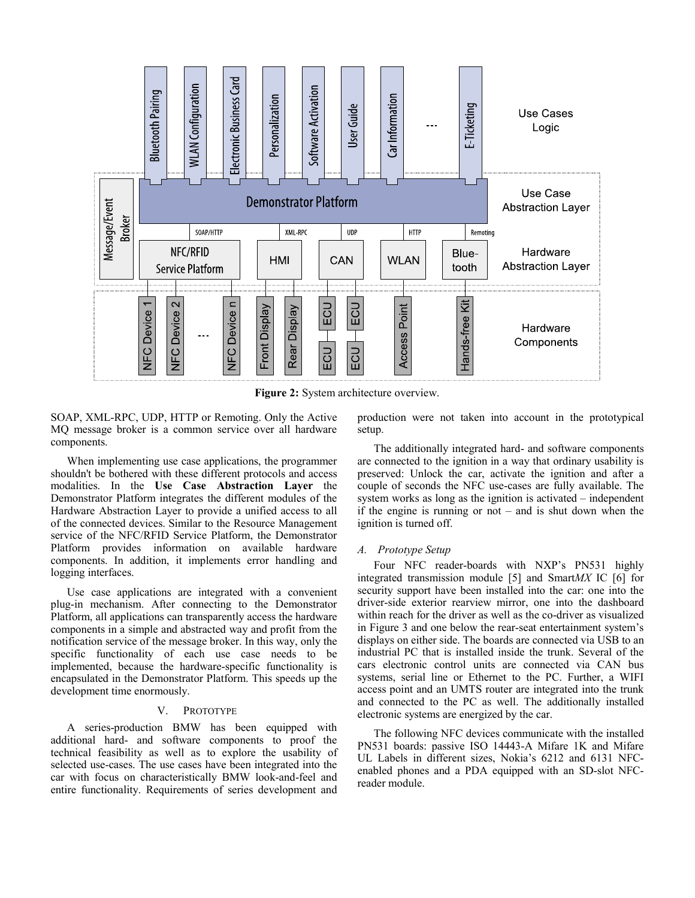

**Figure 2:** System architecture overview.

SOAP, XML-RPC, UDP, HTTP or Remoting. Only the Active MQ message broker is a common service over all hardware components.

When implementing use case applications, the programmer shouldn't be bothered with these different protocols and access modalities. In the **Use Case Abstraction Layer** the Demonstrator Platform integrates the different modules of the Hardware Abstraction Layer to provide a unified access to all of the connected devices. Similar to the Resource Management service of the NFC/RFID Service Platform, the Demonstrator Platform provides information on available hardware components. In addition, it implements error handling and logging interfaces.

Use case applications are integrated with a convenient plug-in mechanism. After connecting to the Demonstrator Platform, all applications can transparently access the hardware components in a simple and abstracted way and profit from the notification service of the message broker. In this way, only the specific functionality of each use case needs to be implemented, because the hardware-specific functionality is encapsulated in the Demonstrator Platform. This speeds up the development time enormously.

# V. PROTOTYPE

A series-production BMW has been equipped with additional hard- and software components to proof the technical feasibility as well as to explore the usability of selected use-cases. The use cases have been integrated into the car with focus on characteristically BMW look-and-feel and entire functionality. Requirements of series development and

production were not taken into account in the prototypical setup.

The additionally integrated hard- and software components are connected to the ignition in a way that ordinary usability is preserved: Unlock the car, activate the ignition and after a couple of seconds the NFC use-cases are fully available. The system works as long as the ignition is activated – independent if the engine is running or not – and is shut down when the ignition is turned off.

# *A. Prototype Setup*

Four NFC reader-boards with NXP's PN531 highly integrated transmission module [5] and Smart*MX* IC [6] for security support have been installed into the car: one into the driver-side exterior rearview mirror, one into the dashboard within reach for the driver as well as the co-driver as visualized in Figure 3 and one below the rear-seat entertainment system's displays on either side. The boards are connected via USB to an industrial PC that is installed inside the trunk. Several of the cars electronic control units are connected via CAN bus systems, serial line or Ethernet to the PC. Further, a WIFI access point and an UMTS router are integrated into the trunk and connected to the PC as well. The additionally installed electronic systems are energized by the car.

The following NFC devices communicate with the installed PN531 boards: passive ISO 14443-A Mifare 1K and Mifare UL Labels in different sizes, Nokia's 6212 and 6131 NFCenabled phones and a PDA equipped with an SD-slot NFCreader module.